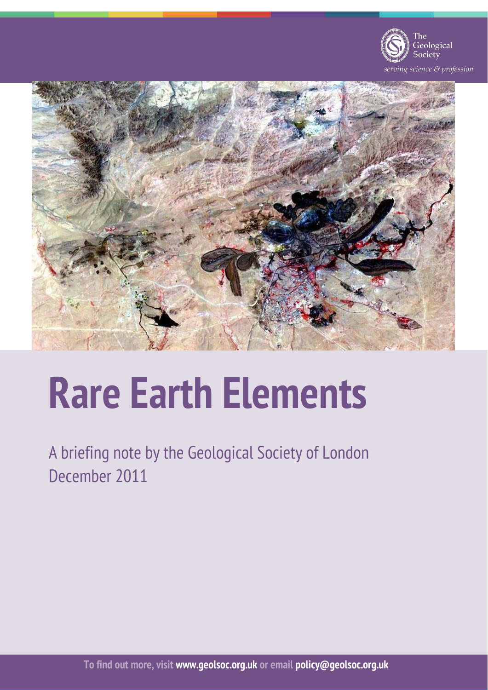

rving science & profession



# **Rare Earth Elements**

A briefing note by the Geological Society of London December 2011

**To find out more, visit www.geolsoc.org.uk or email policy@geolsoc.org.uk**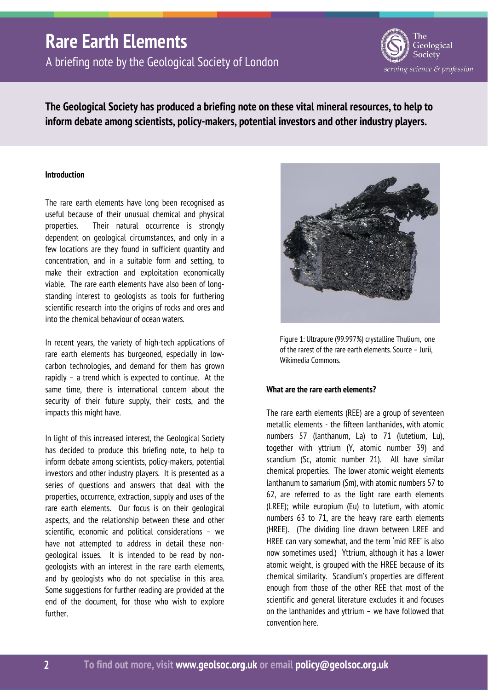A briefing note by the Geological Society of London



**The Geological Society has produced a briefing note on these vital mineral resources, to help to inform debate among scientists, policy-makers, potential investors and other industry players.** 

### **Introduction**

The rare earth elements have long been recognised as useful because of their unusual chemical and physical properties. Their natural occurrence is strongly dependent on geological circumstances, and only in a few locations are they found in sufficient quantity and concentration, and in a suitable form and setting, to make their extraction and exploitation economically viable. The rare earth elements have also been of longstanding interest to geologists as tools for furthering scientific research into the origins of rocks and ores and into the chemical behaviour of ocean waters.

In recent years, the variety of high-tech applications of rare earth elements has burgeoned, especially in lowcarbon technologies, and demand for them has grown rapidly – a trend which is expected to continue. At the same time, there is international concern about the security of their future supply, their costs, and the impacts this might have.

In light of this increased interest, the Geological Society has decided to produce this briefing note, to help to inform debate among scientists, policy-makers, potential investors and other industry players. It is presented as a series of questions and answers that deal with the properties, occurrence, extraction, supply and uses of the rare earth elements. Our focus is on their geological aspects, and the relationship between these and other scientific, economic and political considerations – we have not attempted to address in detail these nongeological issues. It is intended to be read by nongeologists with an interest in the rare earth elements, and by geologists who do not specialise in this area. Some suggestions for further reading are provided at the end of the document, for those who wish to explore further.



Figure 1: Ultrapure (99.997%) crystalline Thulium, one of the rarest of the rare earth elements. Source – Jurii, Wikimedia Commons.

### **What are the rare earth elements?**

The rare earth elements (REE) are a group of seventeen metallic elements - the fifteen lanthanides, with atomic numbers 57 (lanthanum, La) to 71 (lutetium, Lu), together with yttrium (Y, atomic number 39) and scandium (Sc, atomic number 21). All have similar chemical properties. The lower atomic weight elements lanthanum to samarium (Sm), with atomic numbers 57 to 62, are referred to as the light rare earth elements (LREE); while europium (Eu) to lutetium, with atomic numbers 63 to 71, are the heavy rare earth elements (HREE). (The dividing line drawn between LREE and HREE can vary somewhat, and the term 'mid REE' is also now sometimes used.) Yttrium, although it has a lower atomic weight, is grouped with the HREE because of its chemical similarity. Scandium's properties are different enough from those of the other REE that most of the scientific and general literature excludes it and focuses on the lanthanides and yttrium – we have followed that convention here.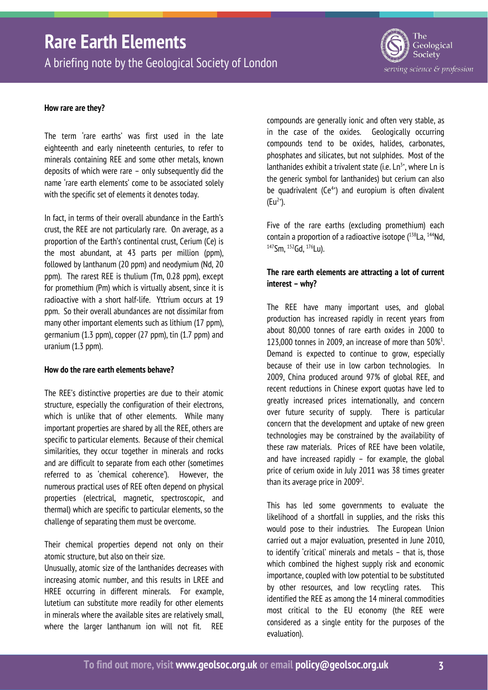A briefing note by the Geological Society of London



#### **How rare are they?**

The term 'rare earths' was first used in the late eighteenth and early nineteenth centuries, to refer to minerals containing REE and some other metals, known deposits of which were rare – only subsequently did the name 'rare earth elements' come to be associated solely with the specific set of elements it denotes today.

In fact, in terms of their overall abundance in the Earth's crust, the REE are not particularly rare. On average, as a proportion of the Earth's continental crust, Cerium (Ce) is the most abundant, at 43 parts per million (ppm), followed by lanthanum (20 ppm) and neodymium (Nd, 20 ppm). The rarest REE is thulium (Tm, 0.28 ppm), except for promethium (Pm) which is virtually absent, since it is radioactive with a short half-life. Yttrium occurs at 19 ppm. So their overall abundances are not dissimilar from many other important elements such as lithium (17 ppm), germanium (1.3 ppm), copper (27 ppm), tin (1.7 ppm) and uranium (1.3 ppm).

#### **How do the rare earth elements behave?**

The REE's distinctive properties are due to their atomic structure, especially the configuration of their electrons, which is unlike that of other elements. While many important properties are shared by all the REE, others are specific to particular elements. Because of their chemical similarities, they occur together in minerals and rocks and are difficult to separate from each other (sometimes referred to as 'chemical coherence'). However, the numerous practical uses of REE often depend on physical properties (electrical, magnetic, spectroscopic, and thermal) which are specific to particular elements, so the challenge of separating them must be overcome.

Their chemical properties depend not only on their atomic structure, but also on their size.

Unusually, atomic size of the lanthanides decreases with increasing atomic number, and this results in LREE and HREE occurring in different minerals. For example, lutetium can substitute more readily for other elements in minerals where the available sites are relatively small, where the larger lanthanum ion will not fit. REE

compounds are generally ionic and often very stable, as in the case of the oxides. Geologically occurring compounds tend to be oxides, halides, carbonates, phosphates and silicates, but not sulphides. Most of the lanthanides exhibit a trivalent state (i.e.  $\text{Ln}^{3+}$ , where  $\text{Ln}$  is the generic symbol for lanthanides) but cerium can also be quadrivalent  $(Ce^{4+})$  and europium is often divalent  $(Eu^{2+})$ .

Five of the rare earths (excluding promethium) each contain a proportion of a radioactive isotope  $(^{138}$ La,  $^{144}$ Nd, 147Sm, 152Gd, 176Lu).

### **The rare earth elements are attracting a lot of current interest – why?**

The REE have many important uses, and global production has increased rapidly in recent years from about 80,000 tonnes of rare earth oxides in 2000 to 123,000 tonnes in 2009, an increase of more than  $50\%$ <sup>1</sup>. Demand is expected to continue to grow, especially because of their use in low carbon technologies. In 2009, China produced around 97% of global REE, and recent reductions in Chinese export quotas have led to greatly increased prices internationally, and concern over future security of supply. There is particular concern that the development and uptake of new green technologies may be constrained by the availability of these raw materials. Prices of REE have been volatile, and have increased rapidly – for example, the global price of cerium oxide in July 2011 was 38 times greater than its average price in  $2009<sup>2</sup>$ .

This has led some governments to evaluate the likelihood of a shortfall in supplies, and the risks this would pose to their industries. The European Union carried out a major evaluation, presented in June 2010, to identify 'critical' minerals and metals – that is, those which combined the highest supply risk and economic importance, coupled with low potential to be substituted by other resources, and low recycling rates. This identified the REE as among the 14 mineral commodities most critical to the EU economy (the REE were considered as a single entity for the purposes of the evaluation).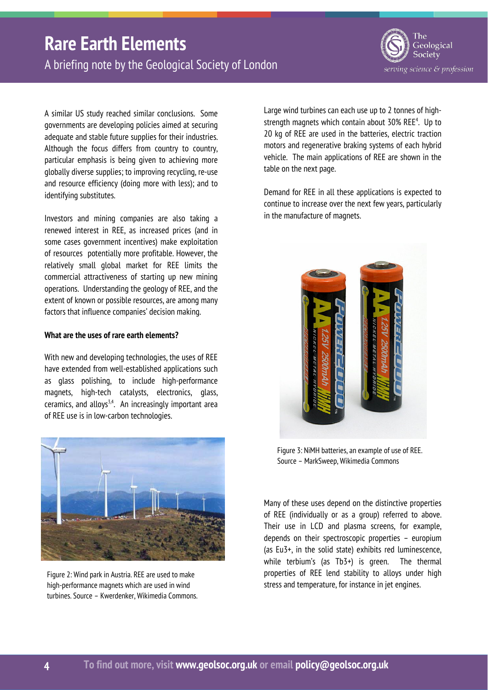A briefing note by the Geological Society of London

The Geological Society serving science & profession

A similar US study reached similar conclusions. Some governments are developing policies aimed at securing adequate and stable future supplies for their industries. Although the focus differs from country to country, particular emphasis is being given to achieving more globally diverse supplies; to improving recycling, re-use and resource efficiency (doing more with less); and to identifying substitutes.

Investors and mining companies are also taking a renewed interest in REE, as increased prices (and in some cases government incentives) make exploitation of resources potentially more profitable. However, the relatively small global market for REE limits the commercial attractiveness of starting up new mining operations. Understanding the geology of REE, and the extent of known or possible resources, are among many factors that influence companies' decision making.

### **What are the uses of rare earth elements?**

With new and developing technologies, the uses of REE have extended from well-established applications such as glass polishing, to include high-performance magnets, high-tech catalysts, electronics, glass, ceramics, and alloys<sup>3,4</sup>. An increasingly important area of REE use is in low-carbon technologies.

![](_page_3_Picture_7.jpeg)

Figure 2: Wind park in Austria. REE are used to make high-performance magnets which are used in wind turbines. Source – Kwerdenker, Wikimedia Commons.

Large wind turbines can each use up to 2 tonnes of highstrength magnets which contain about 30% REE<sup>4</sup>. Up to 20 kg of REE are used in the batteries, electric traction motors and regenerative braking systems of each hybrid vehicle. The main applications of REE are shown in the table on the next page.

Demand for REE in all these applications is expected to continue to increase over the next few years, particularly in the manufacture of magnets.

![](_page_3_Picture_11.jpeg)

Figure 3: NiMH batteries, an example of use of REE. Source – MarkSweep, Wikimedia Commons

Many of these uses depend on the distinctive properties of REE (individually or as a group) referred to above. Their use in LCD and plasma screens, for example, depends on their spectroscopic properties – europium (as Eu3+, in the solid state) exhibits red luminescence, while terbium's (as Tb3+) is green. The thermal properties of REE lend stability to alloys under high stress and temperature, for instance in jet engines.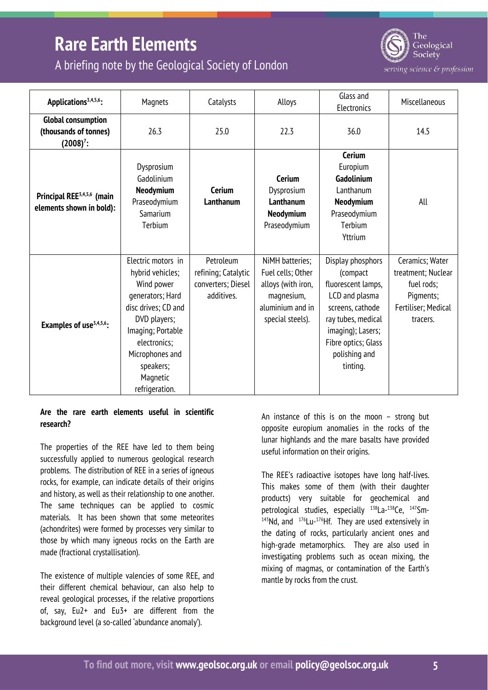A briefing note by the Geological Society of London

![](_page_4_Picture_2.jpeg)

serving science & profession

| Applications <sup>3,4,5,6</sup> :                                  | Magnets                                                                                                                                                                                                            | Catalysts                                                            | Alloys                                                                                                           | Glass and<br>Electronics                                                                                                                                                                 | Miscellaneous                                                                                       |
|--------------------------------------------------------------------|--------------------------------------------------------------------------------------------------------------------------------------------------------------------------------------------------------------------|----------------------------------------------------------------------|------------------------------------------------------------------------------------------------------------------|------------------------------------------------------------------------------------------------------------------------------------------------------------------------------------------|-----------------------------------------------------------------------------------------------------|
| <b>Global consumption</b><br>(thousands of tonnes)<br>$(2008)^7$ : | 26.3                                                                                                                                                                                                               | 25.0                                                                 | 22.3                                                                                                             | 36.0                                                                                                                                                                                     | 14.5                                                                                                |
| Principal REE <sup>3,4,5,6</sup> (main<br>elements shown in bold): | Dysprosium<br>Gadolinium<br><b>Neodymium</b><br>Praseodymium<br>Samarium<br>Terbium                                                                                                                                | <b>Cerium</b><br>Lanthanum                                           | Cerium<br>Dysprosium<br>Lanthanum<br>Neodymium<br>Praseodymium                                                   | <b>Cerium</b><br>Europium<br>Gadolinium<br>Lanthanum<br>Neodymium<br>Praseodymium<br>Terbium<br>Yttrium                                                                                  | All                                                                                                 |
| Examples of use <sup>3,4,5,6</sup> :                               | Electric motors in<br>hybrid vehicles;<br>Wind power<br>generators; Hard<br>disc drives; CD and<br>DVD players;<br>Imaging; Portable<br>electronics;<br>Microphones and<br>speakers;<br>Magnetic<br>refrigeration. | Petroleum<br>refining; Catalytic<br>converters; Diesel<br>additives. | NiMH batteries;<br>Fuel cells; Other<br>alloys (with iron,<br>magnesium,<br>aluminium and in<br>special steels). | Display phosphors<br>(compact<br>fluorescent lamps,<br>LCD and plasma<br>screens, cathode<br>ray tubes, medical<br>imaging); Lasers;<br>Fibre optics; Glass<br>polishing and<br>tinting. | Ceramics; Water<br>treatment; Nuclear<br>fuel rods;<br>Pigments;<br>Fertiliser; Medical<br>tracers. |

### **Are the rare earth elements useful in scientific research?**

The properties of the REE have led to them being successfully applied to numerous geological research problems. The distribution of REE in a series of igneous rocks, for example, can indicate details of their origins and history, as well as their relationship to one another. The same techniques can be applied to cosmic materials. It has been shown that some meteorites (achondrites) were formed by processes very similar to those by which many igneous rocks on the Earth are made (fractional crystallisation).

The existence of multiple valencies of some REE, and their different chemical behaviour, can also help to reveal geological processes, if the relative proportions of, say, Eu2+ and Eu3+ are different from the background level (a so-called 'abundance anomaly').

An instance of this is on the moon – strong but opposite europium anomalies in the rocks of the lunar highlands and the mare basalts have provided useful information on their origins.

The REE's radioactive isotopes have long half-lives. This makes some of them (with their daughter products) very suitable for geochemical and petrological studies, especially 138La-138Ce, 147Sm- $143$ Nd, and  $176$ Lu- $176$ Hf. They are used extensively in the dating of rocks, particularly ancient ones and high-grade metamorphics. They are also used in investigating problems such as ocean mixing, the mixing of magmas, or contamination of the Earth's mantle by rocks from the crust.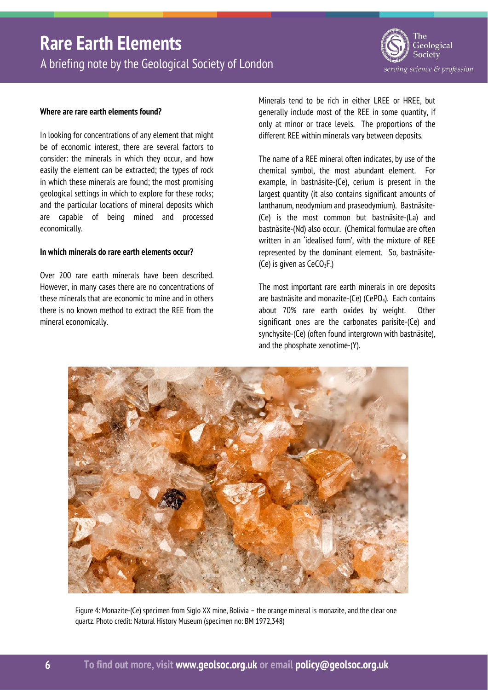A briefing note by the Geological Society of London

![](_page_5_Picture_2.jpeg)

### **Where are rare earth elements found?**

In looking for concentrations of any element that might be of economic interest, there are several factors to consider: the minerals in which they occur, and how easily the element can be extracted; the types of rock in which these minerals are found; the most promising geological settings in which to explore for these rocks; and the particular locations of mineral deposits which are capable of being mined and processed economically.

#### **In which minerals do rare earth elements occur?**

Over 200 rare earth minerals have been described. However, in many cases there are no concentrations of these minerals that are economic to mine and in others there is no known method to extract the REE from the mineral economically.

Minerals tend to be rich in either LREE or HREE, but generally include most of the REE in some quantity, if only at minor or trace levels. The proportions of the different REE within minerals vary between deposits.

The name of a REE mineral often indicates, by use of the chemical symbol, the most abundant element. For example, in bastnäsite-(Ce), cerium is present in the largest quantity (it also contains significant amounts of lanthanum, neodymium and praseodymium). Bastnäsite- (Ce) is the most common but bastnäsite-(La) and bastnäsite-(Nd) also occur. (Chemical formulae are often written in an 'idealised form', with the mixture of REE represented by the dominant element. So, bastnäsite- (Ce) is given as  $CeCO<sub>3</sub>F$ .)

The most important rare earth minerals in ore deposits are bastnäsite and monazite-(Ce) (CePO<sub>4</sub>). Each contains about 70% rare earth oxides by weight. Other significant ones are the carbonates parisite-(Ce) and synchysite-(Ce) (often found intergrown with bastnäsite), and the phosphate xenotime-(Y).

![](_page_5_Picture_10.jpeg)

Figure 4: Monazite-(Ce) specimen from Siglo XX mine, Bolivia – the orange mineral is monazite, and the clear one quartz. Photo credit: Natural History Museum (specimen no: BM 1972,348)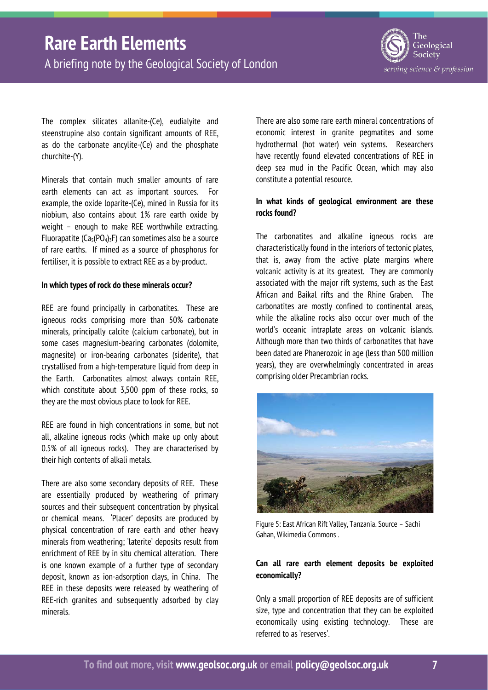A briefing note by the Geological Society of London

![](_page_6_Picture_2.jpeg)

The complex silicates allanite-(Ce), eudialyite and steenstrupine also contain significant amounts of REE, as do the carbonate ancylite-(Ce) and the phosphate churchite-(Y).

Minerals that contain much smaller amounts of rare earth elements can act as important sources. For example, the oxide loparite-(Ce), mined in Russia for its niobium, also contains about 1% rare earth oxide by weight – enough to make REE worthwhile extracting. Fluorapatite ( $Ca<sub>5</sub>(PO<sub>4</sub>)<sub>3</sub>F$ ) can sometimes also be a source of rare earths. If mined as a source of phosphorus for fertiliser, it is possible to extract REE as a by-product.

### **In which types of rock do these minerals occur?**

REE are found principally in carbonatites. These are igneous rocks comprising more than 50% carbonate minerals, principally calcite (calcium carbonate), but in some cases magnesium-bearing carbonates (dolomite, magnesite) or iron-bearing carbonates (siderite), that crystallised from a high-temperature liquid from deep in the Earth. Carbonatites almost always contain REE, which constitute about 3,500 ppm of these rocks, so they are the most obvious place to look for REE.

REE are found in high concentrations in some, but not all, alkaline igneous rocks (which make up only about 0.5% of all igneous rocks). They are characterised by their high contents of alkali metals.

There are also some secondary deposits of REE. These are essentially produced by weathering of primary sources and their subsequent concentration by physical or chemical means. 'Placer' deposits are produced by physical concentration of rare earth and other heavy minerals from weathering; 'laterite' deposits result from enrichment of REE by in situ chemical alteration. There is one known example of a further type of secondary deposit, known as ion-adsorption clays, in China. The REE in these deposits were released by weathering of REE-rich granites and subsequently adsorbed by clay minerals.

There are also some rare earth mineral concentrations of economic interest in granite pegmatites and some hydrothermal (hot water) vein systems. Researchers have recently found elevated concentrations of REE in deep sea mud in the Pacific Ocean, which may also constitute a potential resource.

### **In what kinds of geological environment are these rocks found?**

The carbonatites and alkaline igneous rocks are characteristically found in the interiors of tectonic plates, that is, away from the active plate margins where volcanic activity is at its greatest. They are commonly associated with the major rift systems, such as the East African and Baikal rifts and the Rhine Graben. The carbonatites are mostly confined to continental areas, while the alkaline rocks also occur over much of the world's oceanic intraplate areas on volcanic islands. Although more than two thirds of carbonatites that have been dated are Phanerozoic in age (less than 500 million years), they are overwhelmingly concentrated in areas comprising older Precambrian rocks.

![](_page_6_Picture_12.jpeg)

Figure 5: East African Rift Valley, Tanzania. Source – Sachi Gahan, Wikimedia Commons .

### **Can all rare earth element deposits be exploited economically?**

Only a small proportion of REE deposits are of sufficient size, type and concentration that they can be exploited economically using existing technology. These are referred to as 'reserves'.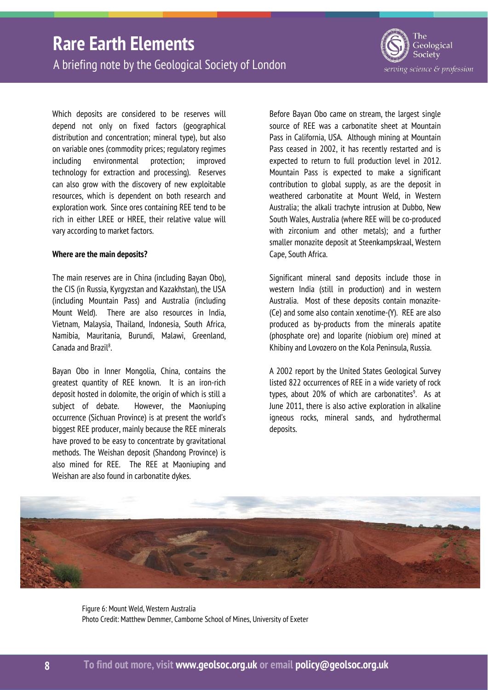A briefing note by the Geological Society of London

The Geological Society serving science & profession

Which deposits are considered to be reserves will depend not only on fixed factors (geographical distribution and concentration; mineral type), but also on variable ones (commodity prices; regulatory regimes including environmental protection; improved technology for extraction and processing). Reserves can also grow with the discovery of new exploitable resources, which is dependent on both research and exploration work. Since ores containing REE tend to be rich in either LREE or HREE, their relative value will vary according to market factors.

#### **Where are the main deposits?**

The main reserves are in China (including Bayan Obo), the CIS (in Russia, Kyrgyzstan and Kazakhstan), the USA (including Mountain Pass) and Australia (including Mount Weld). There are also resources in India, Vietnam, Malaysia, Thailand, Indonesia, South Africa, Namibia, Mauritania, Burundi, Malawi, Greenland, Canada and Brazil<sup>8</sup>.

Bayan Obo in Inner Mongolia, China, contains the greatest quantity of REE known. It is an iron-rich deposit hosted in dolomite, the origin of which is still a subject of debate. However, the Maoniuping occurrence (Sichuan Province) is at present the world's biggest REE producer, mainly because the REE minerals have proved to be easy to concentrate by gravitational methods. The Weishan deposit (Shandong Province) is also mined for REE. The REE at Maoniuping and Weishan are also found in carbonatite dykes.

Before Bayan Obo came on stream, the largest single source of REE was a carbonatite sheet at Mountain Pass in California, USA. Although mining at Mountain Pass ceased in 2002, it has recently restarted and is expected to return to full production level in 2012. Mountain Pass is expected to make a significant contribution to global supply, as are the deposit in weathered carbonatite at Mount Weld, in Western Australia; the alkali trachyte intrusion at Dubbo, New South Wales, Australia (where REE will be co-produced with zirconium and other metals); and a further smaller monazite deposit at Steenkampskraal, Western Cape, South Africa.

Significant mineral sand deposits include those in western India (still in production) and in western Australia. Most of these deposits contain monazite- (Ce) and some also contain xenotime-(Y). REE are also produced as by-products from the minerals apatite (phosphate ore) and loparite (niobium ore) mined at Khibiny and Lovozero on the Kola Peninsula, Russia.

A 2002 report by the United States Geological Survey listed 822 occurrences of REE in a wide variety of rock types, about 20% of which are carbonatites<sup>9</sup>. As at June 2011, there is also active exploration in alkaline igneous rocks, mineral sands, and hydrothermal deposits.

![](_page_7_Picture_10.jpeg)

Figure 6: Mount Weld, Western Australia Photo Credit: Matthew Demmer, Camborne School of Mines, University of Exeter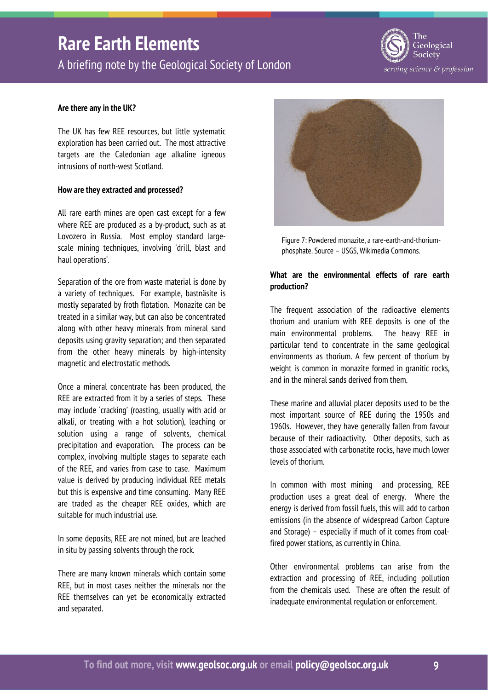A briefing note by the Geological Society of London

![](_page_8_Picture_2.jpeg)

### **Are there any in the UK?**

The UK has few REE resources, but little systematic exploration has been carried out. The most attractive targets are the Caledonian age alkaline igneous intrusions of north-west Scotland.

#### **How are they extracted and processed?**

All rare earth mines are open cast except for a few where REE are produced as a by-product, such as at Lovozero in Russia. Most employ standard largescale mining techniques, involving 'drill, blast and haul operations'.

Separation of the ore from waste material is done by a variety of techniques. For example, bastnäsite is mostly separated by froth flotation. Monazite can be treated in a similar way, but can also be concentrated along with other heavy minerals from mineral sand deposits using gravity separation; and then separated from the other heavy minerals by high-intensity magnetic and electrostatic methods.

Once a mineral concentrate has been produced, the REE are extracted from it by a series of steps. These may include 'cracking' (roasting, usually with acid or alkali, or treating with a hot solution), leaching or solution using a range of solvents, chemical precipitation and evaporation. The process can be complex, involving multiple stages to separate each of the REE, and varies from case to case. Maximum value is derived by producing individual REE metals but this is expensive and time consuming. Many REE are traded as the cheaper REE oxides, which are suitable for much industrial use.

In some deposits, REE are not mined, but are leached in situ by passing solvents through the rock.

There are many known minerals which contain some REE, but in most cases neither the minerals nor the REE themselves can yet be economically extracted and separated.

![](_page_8_Picture_11.jpeg)

Figure 7: Powdered monazite, a rare-earth-and-thoriumphosphate. Source – USGS, Wikimedia Commons.

### **What are the environmental effects of rare earth production?**

The frequent association of the radioactive elements thorium and uranium with REE deposits is one of the main environmental problems. The heavy REE in particular tend to concentrate in the same geological environments as thorium. A few percent of thorium by weight is common in monazite formed in granitic rocks, and in the mineral sands derived from them.

These marine and alluvial placer deposits used to be the most important source of REE during the 1950s and 1960s. However, they have generally fallen from favour because of their radioactivity. Other deposits, such as those associated with carbonatite rocks, have much lower levels of thorium.

In common with most mining and processing, REE production uses a great deal of energy. Where the energy is derived from fossil fuels, this will add to carbon emissions (in the absence of widespread Carbon Capture and Storage) – especially if much of it comes from coalfired power stations, as currently in China.

Other environmental problems can arise from the extraction and processing of REE, including pollution from the chemicals used. These are often the result of inadequate environmental regulation or enforcement.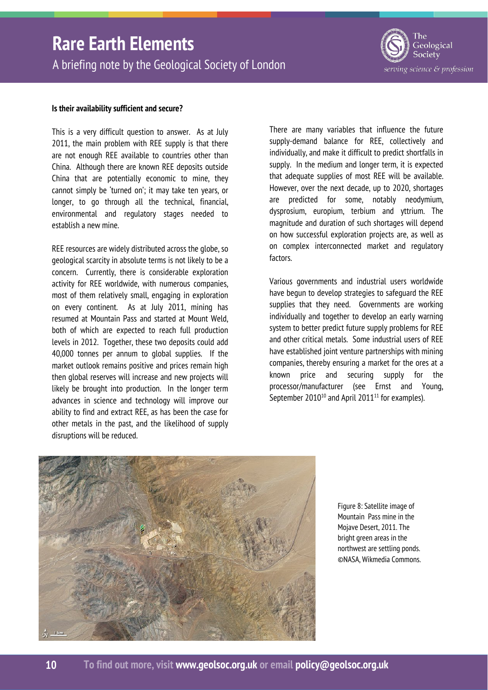A briefing note by the Geological Society of London

### The Geological Society serving science & profession

### **Is their availability sufficient and secure?**

This is a very difficult question to answer. As at July 2011, the main problem with REE supply is that there are not enough REE available to countries other than China. Although there are known REE deposits outside China that are potentially economic to mine, they cannot simply be 'turned on'; it may take ten years, or longer, to go through all the technical, financial, environmental and regulatory stages needed to establish a new mine.

REE resources are widely distributed across the globe, so geological scarcity in absolute terms is not likely to be a concern. Currently, there is considerable exploration activity for REE worldwide, with numerous companies, most of them relatively small, engaging in exploration on every continent. As at July 2011, mining has resumed at Mountain Pass and started at Mount Weld, both of which are expected to reach full production levels in 2012. Together, these two deposits could add 40,000 tonnes per annum to global supplies. If the market outlook remains positive and prices remain high then global reserves will increase and new projects will likely be brought into production. In the longer term advances in science and technology will improve our ability to find and extract REE, as has been the case for other metals in the past, and the likelihood of supply disruptions will be reduced.

There are many variables that influence the future supply-demand balance for REE, collectively and individually, and make it difficult to predict shortfalls in supply. In the medium and longer term, it is expected that adequate supplies of most REE will be available. However, over the next decade, up to 2020, shortages are predicted for some, notably neodymium, dysprosium, europium, terbium and yttrium. The magnitude and duration of such shortages will depend on how successful exploration projects are, as well as on complex interconnected market and regulatory factors.

Various governments and industrial users worldwide have begun to develop strategies to safeguard the REE supplies that they need. Governments are working individually and together to develop an early warning system to better predict future supply problems for REE and other critical metals. Some industrial users of REE have established joint venture partnerships with mining companies, thereby ensuring a market for the ores at a known price and securing supply for the processor/manufacturer (see Ernst and Young, September  $2010^{10}$  and April 2011<sup>11</sup> for examples).

![](_page_9_Picture_8.jpeg)

Figure 8: Satellite image of Mountain Pass mine in the Mojave Desert, 2011. The bright green areas in the northwest are settling ponds. ©NASA, Wikmedia Commons.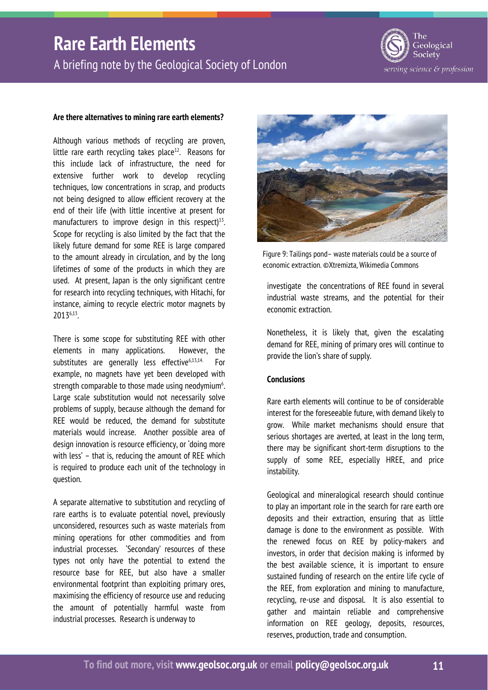A briefing note by the Geological Society of London

![](_page_10_Picture_2.jpeg)

#### **Are there alternatives to mining rare earth elements?**

Although various methods of recycling are proven, little rare earth recycling takes place $12$ . Reasons for this include lack of infrastructure, the need for extensive further work to develop recycling techniques, low concentrations in scrap, and products not being designed to allow efficient recovery at the end of their life (with little incentive at present for manufacturers to improve design in this respect $13$ . Scope for recycling is also limited by the fact that the likely future demand for some REE is large compared to the amount already in circulation, and by the long lifetimes of some of the products in which they are used. At present, Japan is the only significant centre for research into recycling techniques, with Hitachi, for instance, aiming to recycle electric motor magnets by 20136,13.

There is some scope for substituting REE with other elements in many applications. However, the substitutes are generally less effective<sup>6,13,14.</sup> For example, no magnets have yet been developed with strength comparable to those made using neodymium<sup>6</sup>. Large scale substitution would not necessarily solve problems of supply, because although the demand for REE would be reduced, the demand for substitute materials would increase. Another possible area of design innovation is resource efficiency, or 'doing more with less' – that is, reducing the amount of REE which is required to produce each unit of the technology in question.

A separate alternative to substitution and recycling of rare earths is to evaluate potential novel, previously unconsidered, resources such as waste materials from mining operations for other commodities and from industrial processes. 'Secondary' resources of these types not only have the potential to extend the resource base for REE, but also have a smaller environmental footprint than exploiting primary ores, maximising the efficiency of resource use and reducing the amount of potentially harmful waste from industrial processes. Research is underway to

![](_page_10_Picture_7.jpeg)

Figure 9: Tailings pond– waste materials could be a source of economic extraction. ©Xtremizta, Wikimedia Commons

investigate the concentrations of REE found in several industrial waste streams, and the potential for their economic extraction.

Nonetheless, it is likely that, given the escalating demand for REE, mining of primary ores will continue to provide the lion's share of supply.

#### **Conclusions**

Rare earth elements will continue to be of considerable interest for the foreseeable future, with demand likely to grow. While market mechanisms should ensure that serious shortages are averted, at least in the long term, there may be significant short-term disruptions to the supply of some REE, especially HREE, and price instability.

Geological and mineralogical research should continue to play an important role in the search for rare earth ore deposits and their extraction, ensuring that as little damage is done to the environment as possible. With the renewed focus on REE by policy-makers and investors, in order that decision making is informed by the best available science, it is important to ensure sustained funding of research on the entire life cycle of the REE, from exploration and mining to manufacture, recycling, re-use and disposal. It is also essential to gather and maintain reliable and comprehensive information on REE geology, deposits, resources, reserves, production, trade and consumption.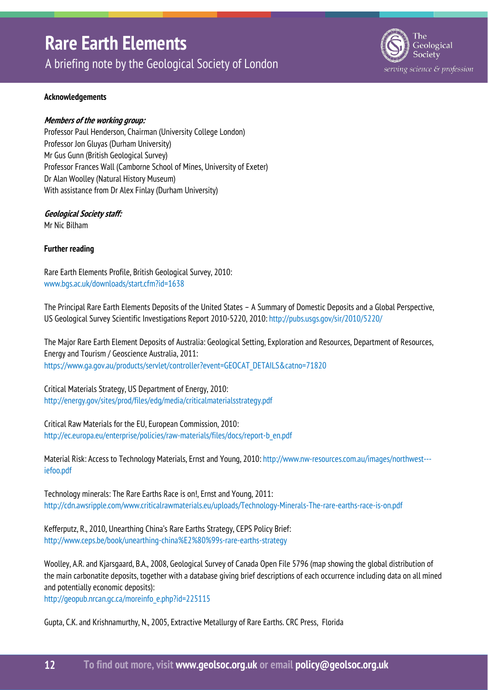A briefing note by the Geological Society of London

![](_page_11_Picture_2.jpeg)

### **Acknowledgements**

### **Members of the working group:**

Professor Paul Henderson, Chairman (University College London) Professor Jon Gluyas (Durham University) Mr Gus Gunn (British Geological Survey) Professor Frances Wall (Camborne School of Mines, University of Exeter) Dr Alan Woolley (Natural History Museum) With assistance from Dr Alex Finlay (Durham University)

### **Geological Society staff:**

Mr Nic Bilham

#### **Further reading**

Rare Earth Elements Profile, British Geological Survey, 2010: www.bgs.ac.uk/downloads/start.cfm?id=1638

The Principal Rare Earth Elements Deposits of the United States – A Summary of Domestic Deposits and a Global Perspective, US Geological Survey Scientific Investigations Report 2010-5220, 2010: http://pubs.usgs.gov/sir/2010/5220/

The Major Rare Earth Element Deposits of Australia: Geological Setting, Exploration and Resources, Department of Resources, Energy and Tourism / Geoscience Australia, 2011: https://www.ga.gov.au/products/servlet/controller?event=GEOCAT\_DETAILS&catno=71820

Critical Materials Strategy, US Department of Energy, 2010: http://energy.gov/sites/prod/files/edg/media/criticalmaterialsstrategy.pdf

Critical Raw Materials for the EU, European Commission, 2010: http://ec.europa.eu/enterprise/policies/raw-materials/files/docs/report-b\_en.pdf

Material Risk: Access to Technology Materials, Ernst and Young, 2010: http://www.nw-resources.com.au/images/northwest--iefoo.pdf

Technology minerals: The Rare Earths Race is on!, Ernst and Young, 2011: http://cdn.awsripple.com/www.criticalrawmaterials.eu/uploads/Technology-Minerals-The-rare-earths-race-is-on.pdf

Kefferputz, R., 2010, Unearthing China's Rare Earths Strategy, CEPS Policy Brief: http://www.ceps.be/book/unearthing-china%E2%80%99s-rare-earths-strategy

Woolley, A.R. and Kjarsgaard, B.A., 2008, Geological Survey of Canada Open File 5796 (map showing the global distribution of the main carbonatite deposits, together with a database giving brief descriptions of each occurrence including data on all mined and potentially economic deposits):

http://geopub.nrcan.gc.ca/moreinfo\_e.php?id=225115

Gupta, C.K. and Krishnamurthy, N., 2005, Extractive Metallurgy of Rare Earths. CRC Press, Florida